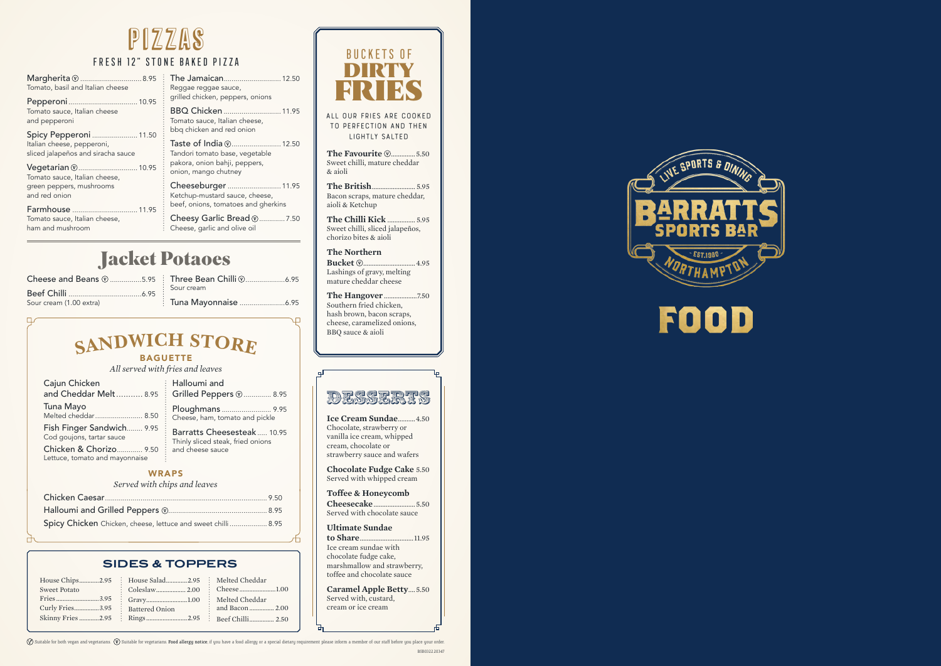## **<sup>S</sup>ANDWIC<sup>H</sup> <sup>S</sup>TOR<sup>E</sup>**

### **BAGUETTE**

**All our fries are cooked to perfection and then lightly salted**

**The Favourite @...............5.50** Sweet chilli, mature cheddar & aioli

**The British**......................... 5.95 Bacon scraps, mature cheddar, aioli & Ketchup

**The Chilli Kick** ................ 5.95 Sweet chilli, sliced jalapeños, chorizo bites & aioli

**The Northern Bucket** ..............................4.95 Lashings of gravy, melting mature cheddar cheese

**The Hangover** ...................7.50 Southern fried chicken, hash brown, bacon scraps, cheese, caramelized onions, BBQ sauce & aioli

**Ice Cream Sundae**..........4.50 Chocolate, strawberry or vanilla ice cream, whipped cream, chocolate or strawberry sauce and wafers

**Chocolate Fudge Cake** 5.50 Served with whipped cream

**Toffee & Honeycomb Cheesecake**........................5.50 Served with chocolate sauce

> **Ultimate Sundae to Share**...............................11.95 Ice cream sundae with chocolate fudge cake, marshmallow and strawberry,

toffee and chocolate sauce

**Caramel Apple Betty**....5.50 Served with, custard, cream or ice cream



# FOOD

 $\Diamond$  Suitable for both vegan and vegetarians.  $\Box$  Suitable for vegetarians. Food allergy notice; if you have a food allergy or a special dietary requirement please inform a member of our staff before you place your order



BUCKETS OF DIRTY

| $\mathsf{Margherita}\,\mathfrak{\odot}\,\dots\dots\dots.\dots$ .8.95<br>Tomato, basil and Italian cheese | The Jamaican 12.50<br>Reggae reggae sauce,                                                           | RIKTERS                                                                   |
|----------------------------------------------------------------------------------------------------------|------------------------------------------------------------------------------------------------------|---------------------------------------------------------------------------|
| Tomato sauce, Italian cheese<br>and pepperoni                                                            | grilled chicken, peppers, onions<br>BBQ Chicken  11.95<br>Tomato sauce, Italian cheese,              | ALL OUR FRIES ARE COOK<br>TO PERFECTION AND THE                           |
| Spicy Pepperoni  11.50<br>Italian cheese, pepperoni,<br>sliced jalapeños and siracha sauce               | bbq chicken and red onion<br>Taste of India (2 12.50<br>Tandori tomato base, vegetable               | LIGHTLY SALTED<br>The Favourite <b>W</b> 5.                               |
| Vegetarian (2 10.95<br>Tomato sauce, Italian cheese,                                                     | pakora, onion bahji, peppers,<br>onion, mango chutney                                                | Sweet chilli, mature cheddar<br>& aioli                                   |
| green peppers, mushrooms<br>and red onion                                                                | Cheeseburger  11.95<br>Ketchup-mustard sauce, cheese,                                                | Bacon scraps, mature cheddai                                              |
| Tomato sauce, Italian cheese,<br>ham and mushroom                                                        | beef, onions, tomatoes and gherkins<br>Cheesy Garlic Bread (2 7.50<br>: Cheese, garlic and olive oil | aioli & Ketchup<br>Sweet chilli, sliced jalapeños,<br>ahorina hitoa kwali |



## FRESH 12" STONE BAKED PIZZA

# pizzas

*All served with fries and leaves*

| Spicy Chicken Chicken, cheese, lettuce and sweet chilli 8.95 |  |
|--------------------------------------------------------------|--|

| Cajun Chicken                                                      | : Halloumi and<br>and Cheddar Melt 8.95   Grilled Peppers @ 8.95 |
|--------------------------------------------------------------------|------------------------------------------------------------------|
| Tuna Mayo                                                          | Ploughmans  9.95                                                 |
| Turra Tvrayo<br>Melted cheddar 8.50                                | : Cheese, ham, tomato and pickle                                 |
| Fish Finger Sandwich 9.95<br>$\vdots$<br>Cod goujons, tartar sauce | Barratts Cheesesteak  10.95<br>Thinly sliced steak, fried onions |
| Chicken & Chorizo 9.50                                             | and cheese sauce                                                 |
| Lettuce, tomato and mayonnaise                                     | ÷                                                                |

### **WRAPS**

### *Served with chips and leaves*

## **Sides & Toppers**

| <b>Sweet Potato</b> | House Chips2.95 : House Salad2.95 : Melted Cheddar |  |
|---------------------|----------------------------------------------------|--|
|                     |                                                    |  |
|                     | Curly Fries3.95 : Battered Onion                   |  |
|                     | Skinny Fries 2.95 Rings 2.95 Beef Chilli  2.50     |  |

## Jacket Potaoes

| Cheese and Beans (25.95 |  |
|-------------------------|--|
|                         |  |
| Sour cream (1.00 extra) |  |

Three Bean Chilli ....................6.95 Sour cream Tuna Mayonnaise .......................6.95

 $\Box$ 

BSB0322.20347